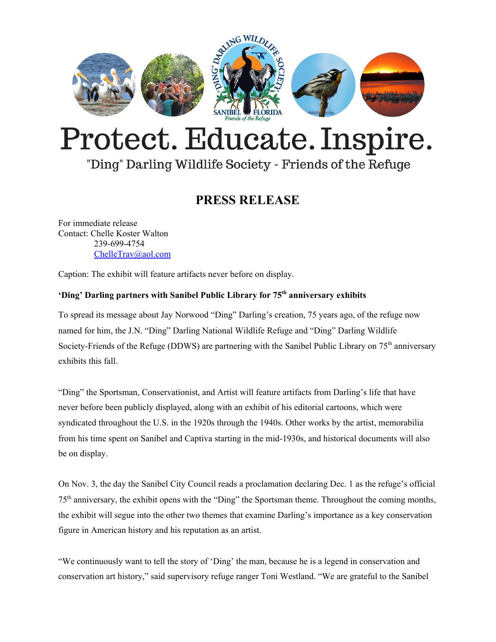

# Protect. Educate. Inspire.

## "Ding" Darling Wildlife Society - Friends of the Refuge

### **PRESS RELEASE**

For immediate release Contact: Chelle Koster Walton 239-699-4754 [ChelleTrav@aol.com](mailto:ChelleTrav@aol.com)

Caption: The exhibit will feature artifacts never before on display.

#### **'Ding' Darling partners with Sanibel Public Library for 75 th anniversary exhibits**

To spread its message about Jay Norwood "Ding" Darling's creation, 75 years ago, of the refuge now named for him, the J.N. "Ding" Darling National Wildlife Refuge and "Ding" Darling Wildlife Society-Friends of the Refuge (DDWS) are partnering with the Sanibel Public Library on 75<sup>th</sup> anniversary exhibits this fall.

"Ding" the Sportsman, Conservationist, and Artist will feature artifacts from Darling's life that have never before been publicly displayed, along with an exhibit of his editorial cartoons, which were syndicated throughout the U.S. in the 1920s through the 1940s. Other works by the artist, memorabilia from his time spent on Sanibel and Captiva starting in the mid-1930s, and historical documents will also be on display.

On Nov. 3, the day the Sanibel City Council reads a proclamation declaring Dec. 1 as the refuge's official 75<sup>th</sup> anniversary, the exhibit opens with the "Ding" the Sportsman theme. Throughout the coming months, the exhibit will segue into the other two themes that examine Darling's importance as a key conservation figure in American history and his reputation as an artist.

"We continuously want to tell the story of 'Ding' the man, because he is a legend in conservation and conservation art history," said supervisory refuge ranger Toni Westland. "We are grateful to the Sanibel